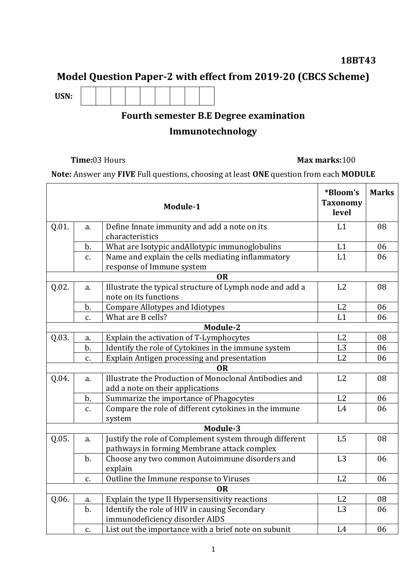## **18BT43**

# **Model Question Paper-2 with effect from 2019-20 (CBCS Scheme)**

**USN:**

# **Fourth semester B.E Degree examination**

## **Immunotechnology**

### **Time:**03 Hours **Max marks:**100

**Note:** Answer any **FIVE** Full questions, choosing at least **ONE** question from each **MODULE**

|       |       | Module-1                                                                                               | *Bloom's<br><b>Taxonomy</b><br>level | <b>Marks</b> |
|-------|-------|--------------------------------------------------------------------------------------------------------|--------------------------------------|--------------|
| Q.01. | a.    | Define Innate immunity and add a note on its<br>characteristics                                        | L1                                   | 08           |
|       | $b$ . | What are Isotypic andAllotypic immunoglobulins                                                         | L1                                   | 06           |
|       | c.    | Name and explain the cells mediating inflammatory<br>response of Immune system                         | L1                                   | 06           |
|       |       | <b>OR</b>                                                                                              |                                      |              |
| Q.02. | a.    | Illustrate the typical structure of Lymph node and add a<br>note on its functions                      | L2                                   | 08           |
|       | $b$ . | <b>Compare Allotypes and Idiotypes</b>                                                                 | L2                                   | 06           |
|       | C.    | What are B cells?                                                                                      | L1                                   | 06           |
|       |       | Module-2                                                                                               |                                      |              |
| Q.03. | a.    | Explain the activation of T-Lymphocytes                                                                | L2                                   | 08           |
|       | $b$ . | Identify the role of Cytokines in the immune system                                                    | L <sub>3</sub>                       | 06           |
|       | c.    | Explain Antigen processing and presentation                                                            | L2                                   | 06           |
|       |       | OR.                                                                                                    |                                      |              |
| Q.04. | a.    | Illustrate the Production of Monoclonal Antibodies and                                                 | L2                                   | 08           |
|       |       | add a note on their applications                                                                       |                                      |              |
|       | b.    | Summarize the importance of Phagocytes                                                                 | L2<br>L4                             | 06<br>06     |
|       | c.    | Compare the role of different cytokines in the immune<br>system                                        |                                      |              |
|       |       | Module-3                                                                                               |                                      |              |
| Q.05. | a.    | Justify the role of Complement system through different<br>pathways in forming Membrane attack complex | L <sub>5</sub>                       | 08           |
|       | $b$ . | Choose any two common Autoimmune disorders and<br>explain                                              | L <sub>3</sub>                       | 06           |
|       | c.    | Outline the Immune response to Viruses                                                                 | L2                                   | 06           |
|       |       | <b>OR</b>                                                                                              |                                      |              |
| Q.06. | a.    | Explain the type II Hypersensitivity reactions                                                         | L <sub>2</sub>                       | 08           |
|       | $b$ . | Identify the role of HIV in causing Secondary<br>immunodeficiency disorder AIDS                        | L3                                   | 06           |
|       | c.    | List out the importance with a brief note on subunit                                                   | L4                                   | 06           |